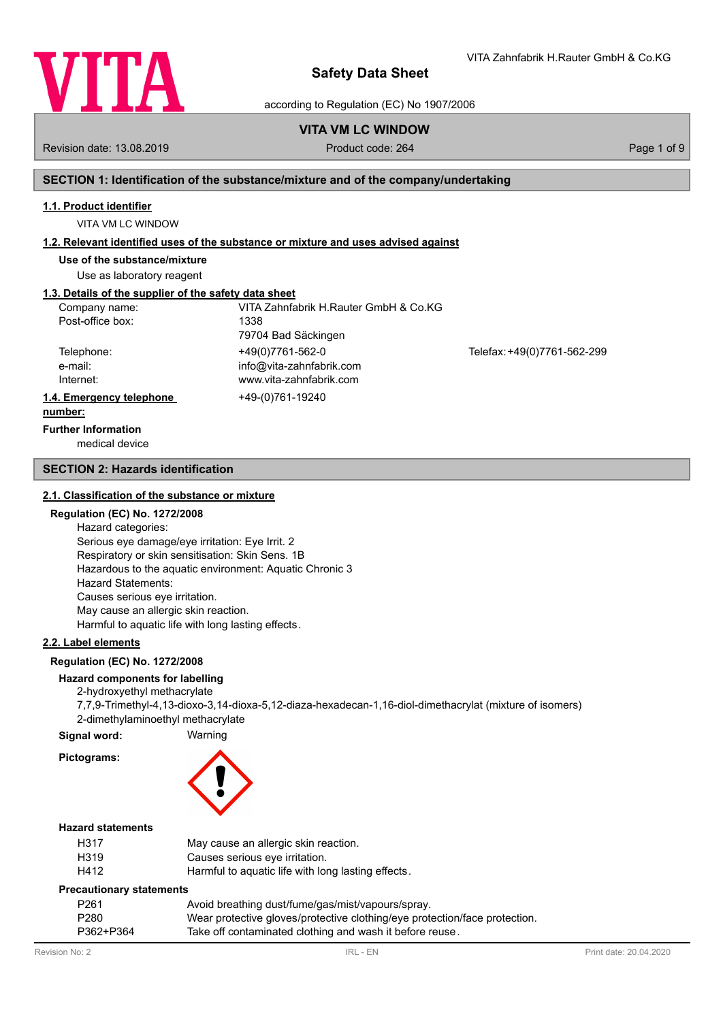

according to Regulation (EC) No 1907/2006

# **VITA VM LC WINDOW**

Revision date: 13.08.2019 **Product code: 264** Product code: 264 Page 1 of 9

VITA Zahnfabrik H.Rauter GmbH & Co.KG

# **SECTION 1: Identification of the substance/mixture and of the company/undertaking**

#### **1.1. Product identifier**

VITA VM LC WINDOW

### **1.2. Relevant identified uses of the substance or mixture and uses advised against**

**Use of the substance/mixture**

Use as laboratory reagent

# **1.3. Details of the supplier of the safety data sheet**

| Company name:            | VITA Zahnfabrik H.Rauter GmbH & Co.KG |                             |
|--------------------------|---------------------------------------|-----------------------------|
| Post-office box:         | 1338                                  |                             |
|                          | 79704 Bad Säckingen                   |                             |
| Telephone:               | +49(0)7761-562-0                      | Telefax: +49(0)7761-562-299 |
| e-mail:                  | info@vita-zahnfabrik.com              |                             |
| Internet:                | www.vita-zahnfabrik.com               |                             |
| 1.4. Emergency telephone | +49-(0)761-19240                      |                             |
| numhar:                  |                                       |                             |

# **number:**

medical device **Further Information**

### **SECTION 2: Hazards identification**

#### **2.1. Classification of the substance or mixture**

## **Regulation (EC) No. 1272/2008**

Hazard categories: Serious eye damage/eye irritation: Eye Irrit. 2 Respiratory or skin sensitisation: Skin Sens. 1B Hazardous to the aquatic environment: Aquatic Chronic 3 Hazard Statements: Causes serious eye irritation. May cause an allergic skin reaction. Harmful to aquatic life with long lasting effects.

# **2.2. Label elements**

### **Regulation (EC) No. 1272/2008**

## **Hazard components for labelling**

2-hydroxyethyl methacrylate

7,7,9-Trimethyl-4,13-dioxo-3,14-dioxa-5,12-diaza-hexadecan-1,16-diol-dimethacrylat (mixture of isomers)

2-dimethylaminoethyl methacrylate

# **Signal word:** Warning **Pictograms:**



## **Hazard statements**

| H317              | May cause an allergic skin reaction.               |
|-------------------|----------------------------------------------------|
| H <sub>3</sub> 19 | Causes serious eye irritation.                     |
| H412              | Harmful to aquatic life with long lasting effects. |

#### **Precautionary statements**

| P <sub>261</sub> | Avoid breathing dust/fume/gas/mist/vapours/spray.                          |
|------------------|----------------------------------------------------------------------------|
| P <sub>280</sub> | Wear protective gloves/protective clothing/eye protection/face protection. |
| P362+P364        | Take off contaminated clothing and wash it before reuse.                   |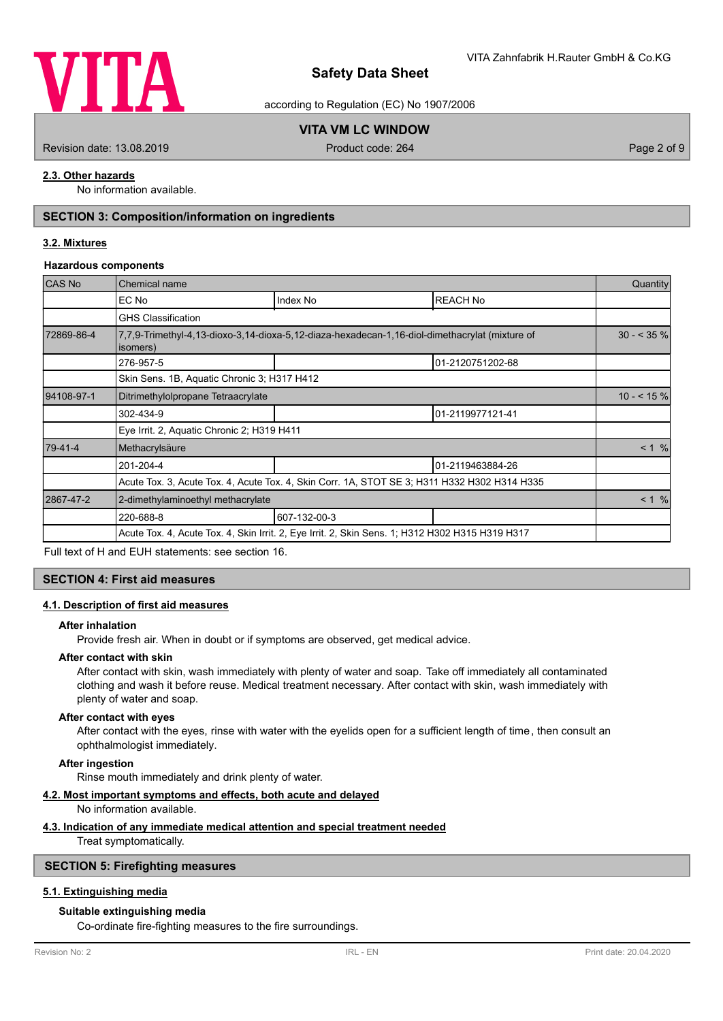

according to Regulation (EC) No 1907/2006

# **VITA VM LC WINDOW**

Revision date: 13.08.2019 **Product code: 264** Product code: 264 Page 2 of 9

# **2.3. Other hazards**

No information available.

# **SECTION 3: Composition/information on ingredients**

## **3.2. Mixtures**

#### **Hazardous components**

| CAS No     | Chemical name                               |                                                                                                 |                  | Quantity      |
|------------|---------------------------------------------|-------------------------------------------------------------------------------------------------|------------------|---------------|
|            | EC No                                       | Index No                                                                                        | <b>REACH No</b>  |               |
|            | <b>GHS Classification</b>                   |                                                                                                 |                  |               |
| 72869-86-4 | isomers)                                    | 7,7,9-Trimethyl-4,13-dioxo-3,14-dioxa-5,12-diaza-hexadecan-1,16-diol-dimethacrylat (mixture of  |                  | $30 - 535 \%$ |
|            | 276-957-5                                   |                                                                                                 | 01-2120751202-68 |               |
|            | Skin Sens. 1B, Aquatic Chronic 3; H317 H412 |                                                                                                 |                  |               |
| 94108-97-1 | Ditrimethylolpropane Tetraacrylate          |                                                                                                 |                  | $10 - 5 \%$   |
|            | 302-434-9                                   |                                                                                                 | 01-2119977121-41 |               |
|            | Eye Irrit. 2, Aquatic Chronic 2; H319 H411  |                                                                                                 |                  |               |
| 79-41-4    | Methacrylsäure                              |                                                                                                 |                  | < 1 %         |
|            | 201-204-4                                   |                                                                                                 | 01-2119463884-26 |               |
|            |                                             | Acute Tox. 3, Acute Tox. 4, Acute Tox. 4, Skin Corr. 1A, STOT SE 3; H311 H332 H302 H314 H335    |                  |               |
| 2867-47-2  | 2-dimethylaminoethyl methacrylate           |                                                                                                 |                  | $< 1$ %       |
|            | 220-688-8                                   | 607-132-00-3                                                                                    |                  |               |
|            |                                             | Acute Tox. 4, Acute Tox. 4, Skin Irrit. 2, Eye Irrit. 2, Skin Sens. 1; H312 H302 H315 H319 H317 |                  |               |

Full text of H and EUH statements: see section 16.

## **SECTION 4: First aid measures**

#### **4.1. Description of first aid measures**

#### **After inhalation**

Provide fresh air. When in doubt or if symptoms are observed, get medical advice.

## **After contact with skin**

After contact with skin, wash immediately with plenty of water and soap. Take off immediately all contaminated clothing and wash it before reuse. Medical treatment necessary. After contact with skin, wash immediately with plenty of water and soap.

#### **After contact with eyes**

After contact with the eyes, rinse with water with the eyelids open for a sufficient length of time, then consult an ophthalmologist immediately.

## **After ingestion**

Rinse mouth immediately and drink plenty of water.

### **4.2. Most important symptoms and effects, both acute and delayed**

No information available.

#### **4.3. Indication of any immediate medical attention and special treatment needed**

Treat symptomatically.

## **SECTION 5: Firefighting measures**

## **5.1. Extinguishing media**

## **Suitable extinguishing media**

Co-ordinate fire-fighting measures to the fire surroundings.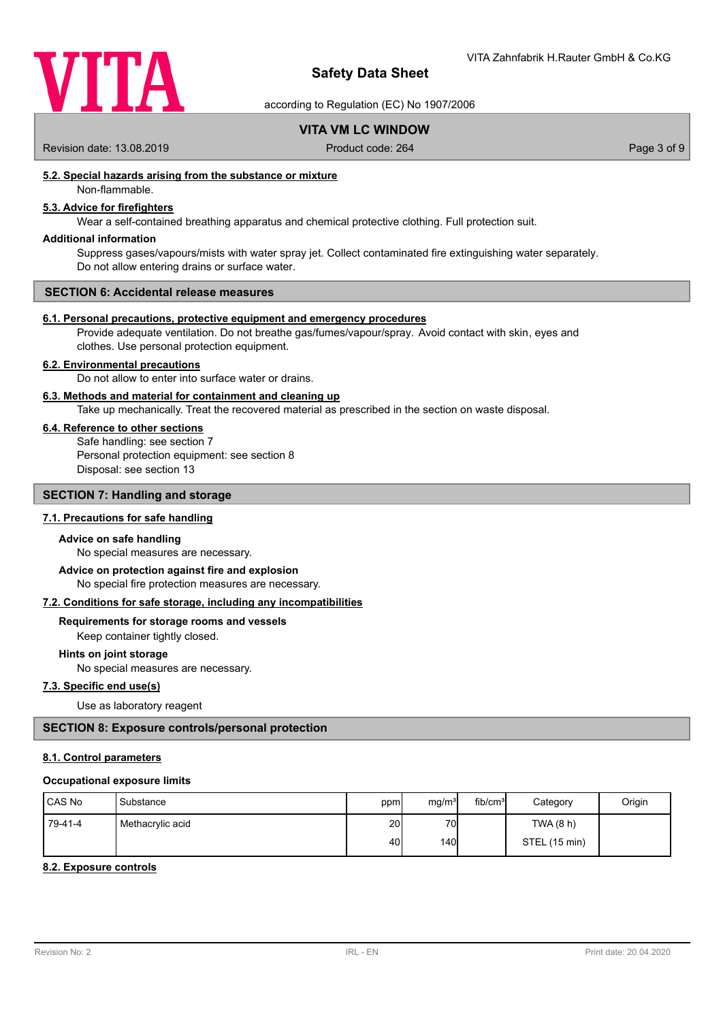

according to Regulation (EC) No 1907/2006

# **VITA VM LC WINDOW**

Revision date: 13.08.2019 <br>
Product code: 264 Page 3 of 9

# **5.2. Special hazards arising from the substance or mixture**

# Non-flammable.

# **5.3. Advice for firefighters**

Wear a self-contained breathing apparatus and chemical protective clothing. Full protection suit.

## **Additional information**

Suppress gases/vapours/mists with water spray jet. Collect contaminated fire extinguishing water separately. Do not allow entering drains or surface water.

#### **SECTION 6: Accidental release measures**

#### **6.1. Personal precautions, protective equipment and emergency procedures**

Provide adequate ventilation. Do not breathe gas/fumes/vapour/spray. Avoid contact with skin, eyes and clothes. Use personal protection equipment.

#### **6.2. Environmental precautions**

Do not allow to enter into surface water or drains.

### **6.3. Methods and material for containment and cleaning up**

Take up mechanically. Treat the recovered material as prescribed in the section on waste disposal.

#### **6.4. Reference to other sections**

Safe handling: see section 7 Personal protection equipment: see section 8 Disposal: see section 13

## **SECTION 7: Handling and storage**

# **7.1. Precautions for safe handling**

#### **Advice on safe handling**

No special measures are necessary.

No special fire protection measures are necessary. **Advice on protection against fire and explosion**

#### **7.2. Conditions for safe storage, including any incompatibilities**

# **Requirements for storage rooms and vessels**

Keep container tightly closed.

# **Hints on joint storage**

No special measures are necessary.

# **7.3. Specific end use(s)**

Use as laboratory reagent

## **SECTION 8: Exposure controls/personal protection**

## **8.1. Control parameters**

#### **Occupational exposure limits**

| <b>ICAS No</b> | Substance        | ppm             | mg/m <sup>3</sup> | fib/cm <sup>3</sup> | Category      | Origin |
|----------------|------------------|-----------------|-------------------|---------------------|---------------|--------|
| 79-41-4        | Methacrylic acid | 20 <sup>1</sup> | 70                |                     | TWA (8 h)     |        |
|                |                  | 40              | 140               |                     | STEL (15 min) |        |

#### **8.2. Exposure controls**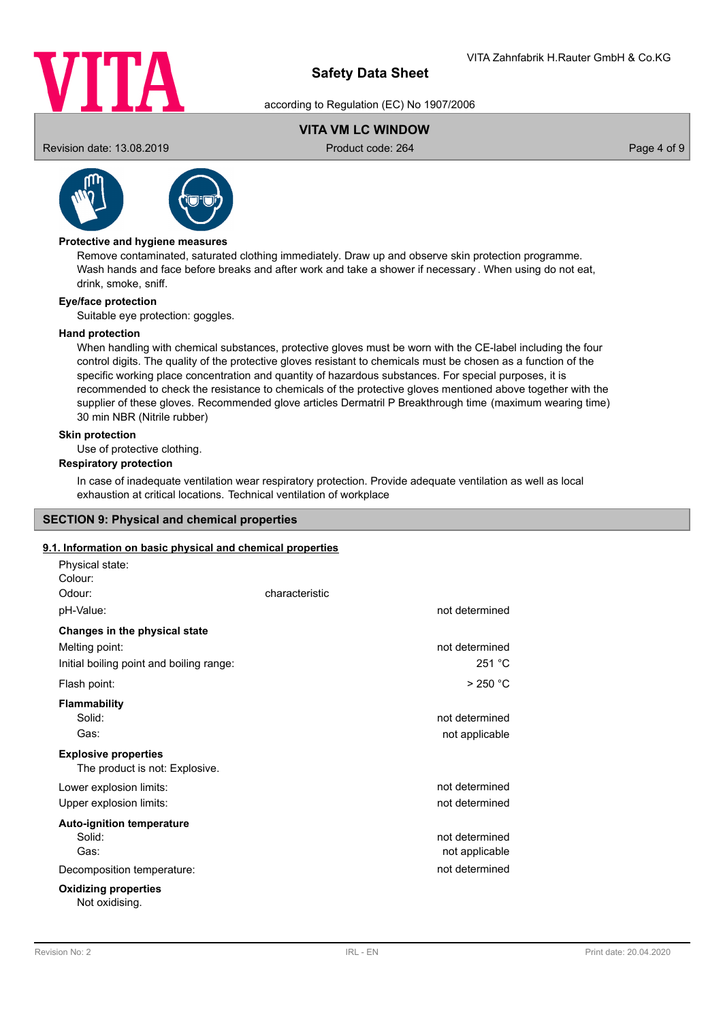

according to Regulation (EC) No 1907/2006

# **VITA VM LC WINDOW**

Revision date: 13.08.2019 **Product code: 264** Product code: 264 Page 4 of 9



# **Protective and hygiene measures**

Remove contaminated, saturated clothing immediately. Draw up and observe skin protection programme. Wash hands and face before breaks and after work and take a shower if necessary . When using do not eat, drink, smoke, sniff.

### **Eye/face protection**

Suitable eye protection: goggles.

### **Hand protection**

When handling with chemical substances, protective gloves must be worn with the CE-label including the four control digits. The quality of the protective gloves resistant to chemicals must be chosen as a function of the specific working place concentration and quantity of hazardous substances. For special purposes, it is recommended to check the resistance to chemicals of the protective gloves mentioned above together with the supplier of these gloves. Recommended glove articles Dermatril P Breakthrough time (maximum wearing time) 30 min NBR (Nitrile rubber)

#### **Skin protection**

Use of protective clothing.

# **Respiratory protection**

In case of inadequate ventilation wear respiratory protection. Provide adequate ventilation as well as local exhaustion at critical locations. Technical ventilation of workplace

## **SECTION 9: Physical and chemical properties**

## **9.1. Information on basic physical and chemical properties**

| Physical state:                                               |                |                                  |
|---------------------------------------------------------------|----------------|----------------------------------|
| Colour:                                                       |                |                                  |
| Odour:                                                        | characteristic |                                  |
| pH-Value:                                                     |                | not determined                   |
| Changes in the physical state                                 |                |                                  |
| Melting point:                                                |                | not determined                   |
| Initial boiling point and boiling range:                      |                | 251 °C                           |
| Flash point:                                                  |                | $>250$ °C                        |
| <b>Flammability</b><br>Solid:<br>Gas:                         |                | not determined<br>not applicable |
| <b>Explosive properties</b><br>The product is not: Explosive. |                |                                  |
| Lower explosion limits:                                       |                | not determined                   |
| Upper explosion limits:                                       |                | not determined                   |
| <b>Auto-ignition temperature</b>                              |                |                                  |
| Solid:                                                        |                | not determined                   |
| Gas:                                                          |                | not applicable                   |
| Decomposition temperature:                                    |                | not determined                   |
| <b>Oxidizing properties</b><br>Not oxidising.                 |                |                                  |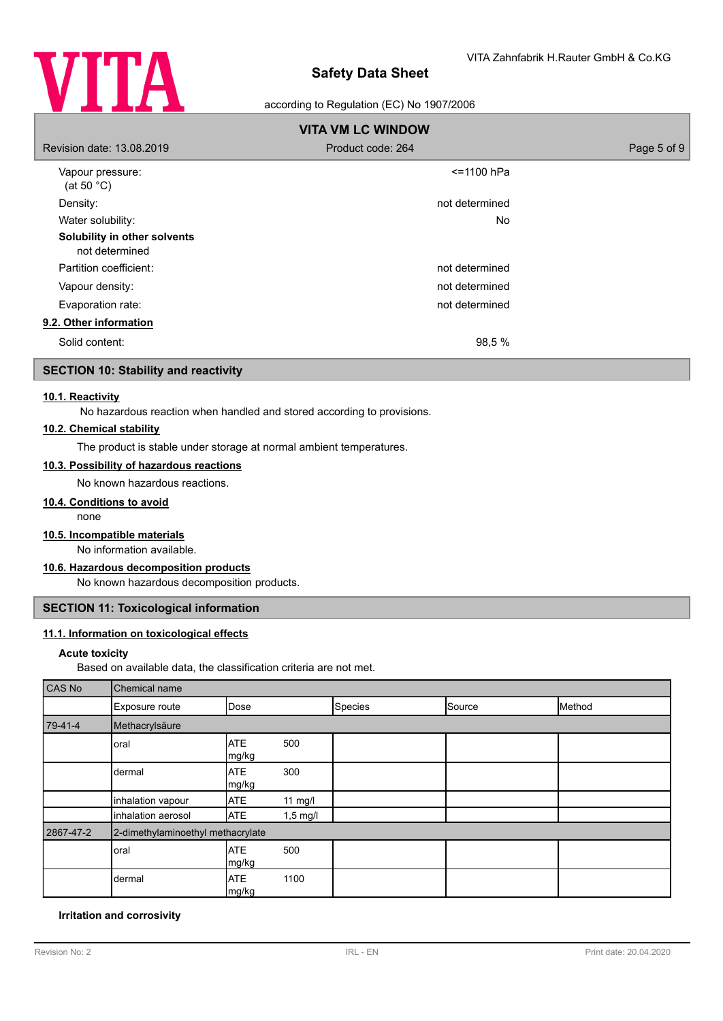

## according to Regulation (EC) No 1907/2006

| <b>VITA VM LC WINDOW</b>                       |                   |             |
|------------------------------------------------|-------------------|-------------|
| Revision date: 13.08.2019                      | Product code: 264 | Page 5 of 9 |
| Vapour pressure:<br>(at 50 $^{\circ}$ C)       | <=1100 hPa        |             |
| Density:                                       | not determined    |             |
| Water solubility:                              | No.               |             |
| Solubility in other solvents<br>not determined |                   |             |
| Partition coefficient:                         | not determined    |             |
| Vapour density:                                | not determined    |             |
| Evaporation rate:                              | not determined    |             |
| 9.2. Other information                         |                   |             |
| Solid content:                                 | 98,5 %            |             |

# **SECTION 10: Stability and reactivity**

#### **10.1. Reactivity**

No hazardous reaction when handled and stored according to provisions.

## **10.2. Chemical stability**

The product is stable under storage at normal ambient temperatures.

# **10.3. Possibility of hazardous reactions**

No known hazardous reactions.

### **10.4. Conditions to avoid**

none

# **10.5. Incompatible materials**

No information available.

# **10.6. Hazardous decomposition products**

No known hazardous decomposition products.

# **SECTION 11: Toxicological information**

### **11.1. Information on toxicological effects**

#### **Acute toxicity**

Based on available data, the classification criteria are not met.

| CAS No    | Chemical name                     |                     |            |         |        |        |
|-----------|-----------------------------------|---------------------|------------|---------|--------|--------|
|           | Exposure route                    | Dose                |            | Species | Source | Method |
| $79-41-4$ | Methacrylsäure                    |                     |            |         |        |        |
|           | oral                              | <b>ATE</b><br>mg/kg | 500        |         |        |        |
|           | dermal                            | <b>ATE</b><br>mg/kg | 300        |         |        |        |
|           | inhalation vapour                 | <b>ATE</b>          | 11 mg/l    |         |        |        |
|           | inhalation aerosol                | <b>ATE</b>          | $1,5$ mg/l |         |        |        |
| 2867-47-2 | 2-dimethylaminoethyl methacrylate |                     |            |         |        |        |
|           | oral                              | <b>ATE</b><br>mg/kg | 500        |         |        |        |
|           | dermal                            | <b>ATE</b><br>mg/kg | 1100       |         |        |        |

#### **Irritation and corrosivity**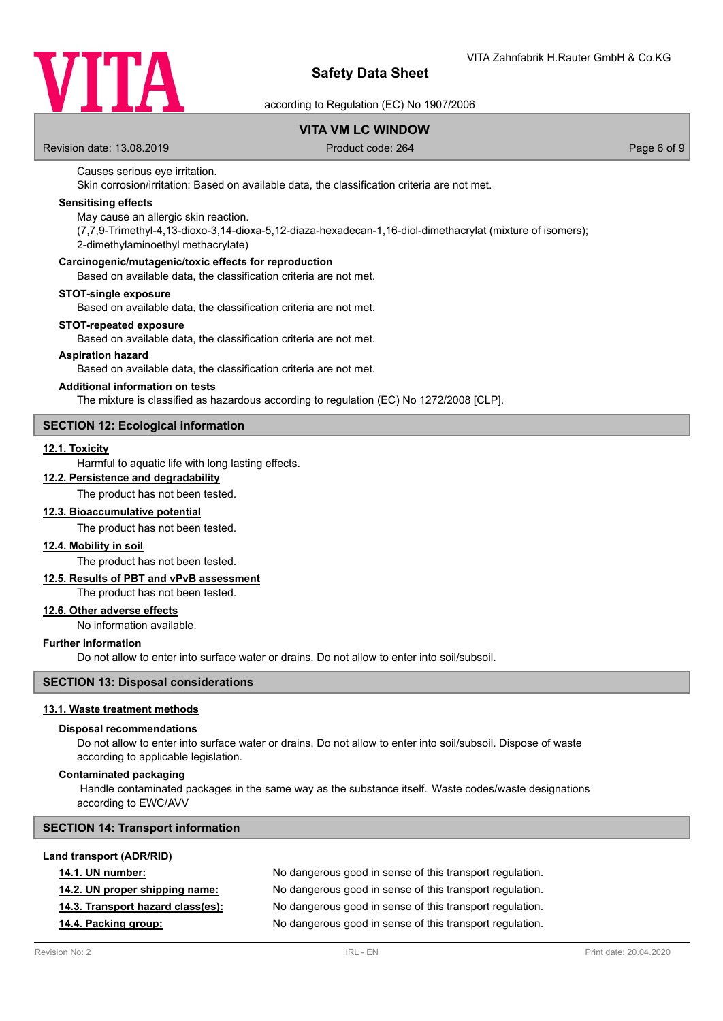

according to Regulation (EC) No 1907/2006

# **VITA VM LC WINDOW**

Revision date: 13.08.2019 **Product code: 264** Product code: 264 Page 6 of 9

### Causes serious eye irritation.

Skin corrosion/irritation: Based on available data, the classification criteria are not met.

## **Sensitising effects**

May cause an allergic skin reaction.

(7,7,9-Trimethyl-4,13-dioxo-3,14-dioxa-5,12-diaza-hexadecan-1,16-diol-dimethacrylat (mixture of isomers); 2-dimethylaminoethyl methacrylate)

#### **Carcinogenic/mutagenic/toxic effects for reproduction**

Based on available data, the classification criteria are not met.

#### **STOT-single exposure**

Based on available data, the classification criteria are not met.

#### **STOT-repeated exposure**

Based on available data, the classification criteria are not met.

#### **Aspiration hazard**

Based on available data, the classification criteria are not met.

#### **Additional information on tests**

The mixture is classified as hazardous according to regulation (EC) No 1272/2008 [CLP].

## **SECTION 12: Ecological information**

#### **12.1. Toxicity**

Harmful to aquatic life with long lasting effects.

# **12.2. Persistence and degradability**

The product has not been tested.

### **12.3. Bioaccumulative potential**

The product has not been tested.

#### **12.4. Mobility in soil**

The product has not been tested.

## **12.5. Results of PBT and vPvB assessment**

The product has not been tested.

# **12.6. Other adverse effects**

No information available.

### **Further information**

Do not allow to enter into surface water or drains. Do not allow to enter into soil/subsoil.

## **SECTION 13: Disposal considerations**

#### **13.1. Waste treatment methods**

#### **Disposal recommendations**

Do not allow to enter into surface water or drains. Do not allow to enter into soil/subsoil. Dispose of waste according to applicable legislation.

#### **Contaminated packaging**

 Handle contaminated packages in the same way as the substance itself. Waste codes/waste designations according to EWC/AVV

#### **SECTION 14: Transport information**

### **Land transport (ADR/RID)**

| <b>14.1. UN number:</b>           | No dangerous good in sense of this transport regulation. |
|-----------------------------------|----------------------------------------------------------|
| 14.2. UN proper shipping name:    | No dangerous good in sense of this transport regulation. |
| 14.3. Transport hazard class(es): | No dangerous good in sense of this transport regulation. |
| 14.4. Packing group:              | No dangerous good in sense of this transport regulation. |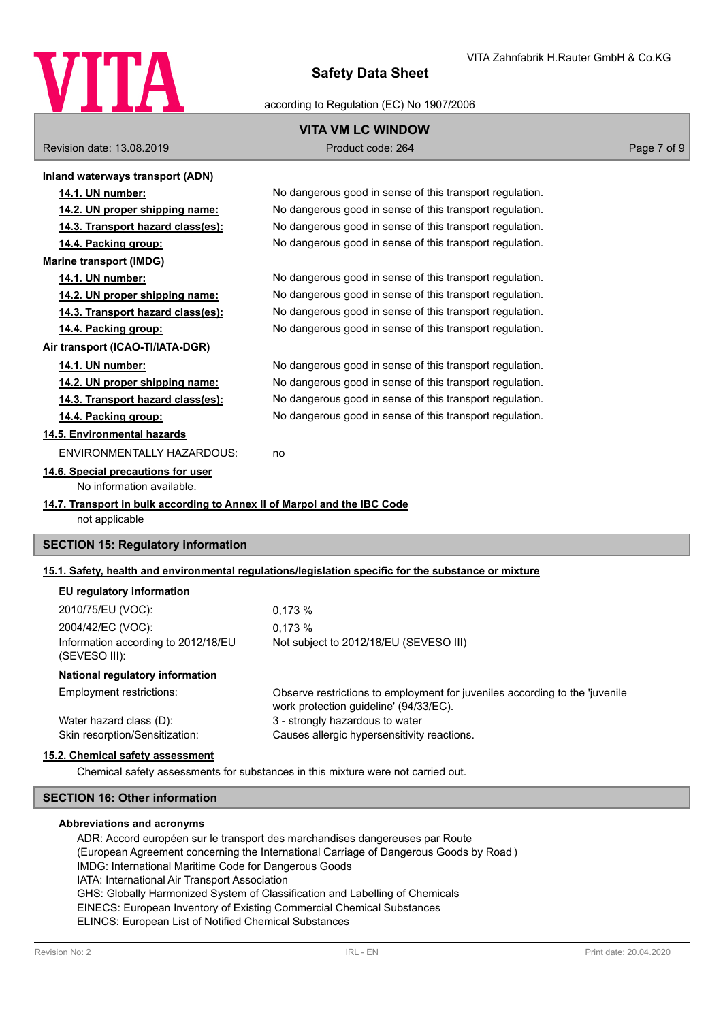

## according to Regulation (EC) No 1907/2006

# **VITA VM LC WINDOW**

Revision date: 13.08.2019 **Product code: 264** Product code: 264 Page 7 of 9

| Inland waterways transport (ADN)                                                           |                                                                                                      |
|--------------------------------------------------------------------------------------------|------------------------------------------------------------------------------------------------------|
| 14.1. UN number:                                                                           | No dangerous good in sense of this transport regulation.                                             |
| 14.2. UN proper shipping name:                                                             | No dangerous good in sense of this transport regulation.                                             |
| 14.3. Transport hazard class(es):                                                          | No dangerous good in sense of this transport regulation.                                             |
| 14.4. Packing group:                                                                       | No dangerous good in sense of this transport regulation.                                             |
| <b>Marine transport (IMDG)</b>                                                             |                                                                                                      |
| 14.1. UN number:                                                                           | No dangerous good in sense of this transport regulation.                                             |
| 14.2. UN proper shipping name:                                                             | No dangerous good in sense of this transport regulation.                                             |
| 14.3. Transport hazard class(es):                                                          | No dangerous good in sense of this transport regulation.                                             |
| 14.4. Packing group:                                                                       | No dangerous good in sense of this transport regulation.                                             |
| Air transport (ICAO-TI/IATA-DGR)                                                           |                                                                                                      |
| 14.1. UN number:                                                                           | No dangerous good in sense of this transport regulation.                                             |
| 14.2. UN proper shipping name:                                                             | No dangerous good in sense of this transport regulation.                                             |
| 14.3. Transport hazard class(es):                                                          | No dangerous good in sense of this transport regulation.                                             |
| 14.4. Packing group:                                                                       | No dangerous good in sense of this transport regulation.                                             |
| 14.5. Environmental hazards                                                                |                                                                                                      |
| <b>ENVIRONMENTALLY HAZARDOUS:</b>                                                          | no                                                                                                   |
| 14.6. Special precautions for user                                                         |                                                                                                      |
| No information available.                                                                  |                                                                                                      |
| 14.7. Transport in bulk according to Annex II of Marpol and the IBC Code<br>not applicable |                                                                                                      |
| <b>SECTION 15: Regulatory information</b>                                                  |                                                                                                      |
|                                                                                            | 15.1. Safety, health and environmental regulations/legislation specific for the substance or mixture |
| EU regulatory information                                                                  |                                                                                                      |

| 2010/75/EU (VOC):                                    | 0.173%                                                                                                                |
|------------------------------------------------------|-----------------------------------------------------------------------------------------------------------------------|
| 2004/42/EC (VOC):                                    | 0.173%                                                                                                                |
| Information according to 2012/18/EU<br>(SEVESO III): | Not subject to 2012/18/EU (SEVESO III)                                                                                |
| National regulatory information                      |                                                                                                                       |
| Employment restrictions:                             | Observe restrictions to employment for juveniles according to the 'juvenile<br>work protection guideline' (94/33/EC). |
| Water hazard class (D):                              | 3 - strongly hazardous to water                                                                                       |
| Skin resorption/Sensitization:                       | Causes allergic hypersensitivity reactions.                                                                           |
|                                                      |                                                                                                                       |

### **15.2. Chemical safety assessment**

Chemical safety assessments for substances in this mixture were not carried out.

# **SECTION 16: Other information**

#### **Abbreviations and acronyms**

ADR: Accord européen sur le transport des marchandises dangereuses par Route (European Agreement concerning the International Carriage of Dangerous Goods by Road ) IMDG: International Maritime Code for Dangerous Goods IATA: International Air Transport Association GHS: Globally Harmonized System of Classification and Labelling of Chemicals EINECS: European Inventory of Existing Commercial Chemical Substances ELINCS: European List of Notified Chemical Substances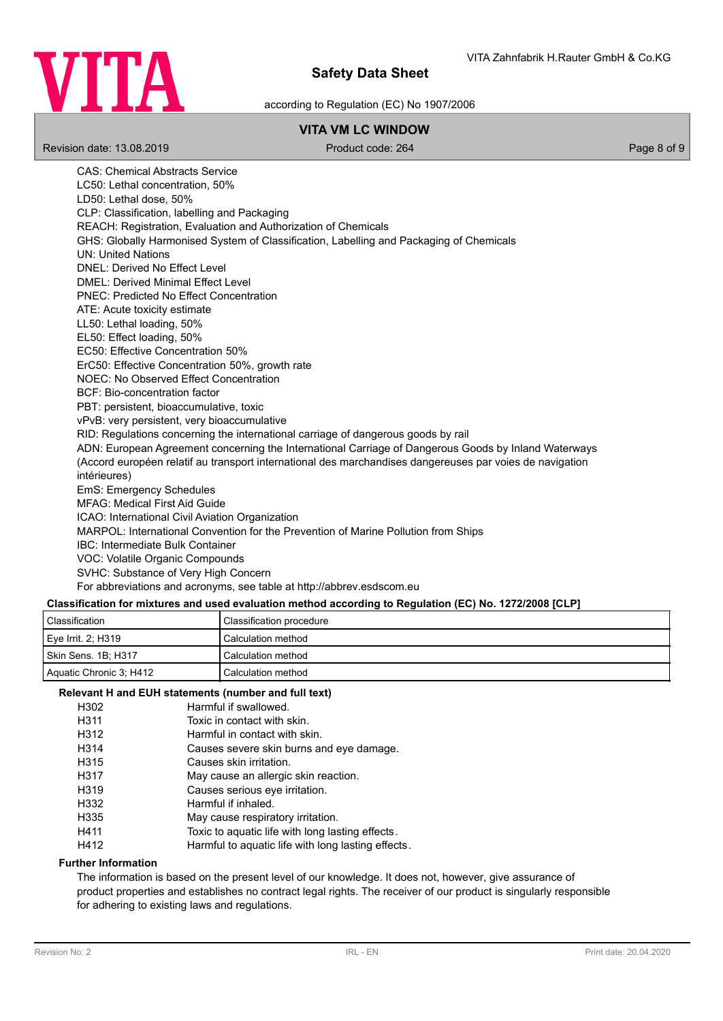

according to Regulation (EC) No 1907/2006

# **VITA VM LC WINDOW**

Revision date: 13.08.2019 **Product code: 264** Product code: 264 Page 8 of 9

CAS: Chemical Abstracts Service LC50: Lethal concentration, 50% LD50: Lethal dose, 50% CLP: Classification, labelling and Packaging REACH: Registration, Evaluation and Authorization of Chemicals GHS: Globally Harmonised System of Classification, Labelling and Packaging of Chemicals UN: United Nations DNEL: Derived No Effect Level DMEL: Derived Minimal Effect Level PNEC: Predicted No Effect Concentration ATE: Acute toxicity estimate LL50: Lethal loading, 50% EL50: Effect loading, 50% EC50: Effective Concentration 50% ErC50: Effective Concentration 50%, growth rate NOEC: No Observed Effect Concentration BCF: Bio-concentration factor PBT: persistent, bioaccumulative, toxic vPvB: very persistent, very bioaccumulative RID: Regulations concerning the international carriage of dangerous goods by rail ADN: European Agreement concerning the International Carriage of Dangerous Goods by Inland Waterways (Accord européen relatif au transport international des marchandises dangereuses par voies de navigation intérieures) EmS: Emergency Schedules MFAG: Medical First Aid Guide ICAO: International Civil Aviation Organization MARPOL: International Convention for the Prevention of Marine Pollution from Ships IBC: Intermediate Bulk Container VOC: Volatile Organic Compounds SVHC: Substance of Very High Concern For abbreviations and acronyms, see table at http://abbrev.esdscom.eu

# **Classification for mixtures and used evaluation method according to Regulation (EC) No. 1272/2008 [CLP]**

| Classification          | Classification procedure |
|-------------------------|--------------------------|
| Eye Irrit. 2; H319      | Calculation method       |
| Skin Sens. 1B: H317     | Calculation method       |
| Aquatic Chronic 3: H412 | Calculation method       |

## **Relevant H and EUH statements (number and full text)**

| H302 | Harmful if swallowed.                             |
|------|---------------------------------------------------|
| H311 | Toxic in contact with skin.                       |
| H312 | Harmful in contact with skin.                     |
| H314 | Causes severe skin burns and eye damage.          |
| H315 | Causes skin irritation.                           |
| H317 | May cause an allergic skin reaction.              |
| H319 | Causes serious eye irritation.                    |
| H332 | Harmful if inhaled.                               |
| H335 | May cause respiratory irritation.                 |
| H411 | Toxic to aquatic life with long lasting effects.  |
| H412 | Harmful to aquatic life with long lasting effects |

### **Further Information**

The information is based on the present level of our knowledge. It does not, however, give assurance of product properties and establishes no contract legal rights. The receiver of our product is singularly responsible for adhering to existing laws and regulations.